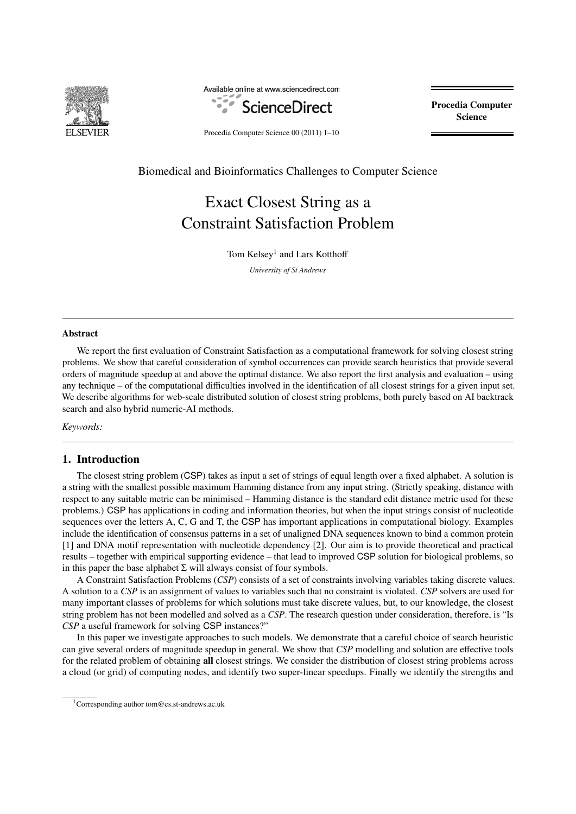

Available online at www.sciencedirect.com



Procedia Computer Science

Procedia Computer Science 00 (2011) 1–10

Biomedical and Bioinformatics Challenges to Computer Science

# Exact Closest String as a Constraint Satisfaction Problem

Tom Kelsey<sup>1</sup> and Lars Kotthoff *University of St Andrews*

# Abstract

We report the first evaluation of Constraint Satisfaction as a computational framework for solving closest string problems. We show that careful consideration of symbol occurrences can provide search heuristics that provide several orders of magnitude speedup at and above the optimal distance. We also report the first analysis and evaluation – using any technique – of the computational difficulties involved in the identification of all closest strings for a given input set. We describe algorithms for web-scale distributed solution of closest string problems, both purely based on AI backtrack search and also hybrid numeric-AI methods.

*Keywords:*

# 1. Introduction

The closest string problem (CSP) takes as input a set of strings of equal length over a fixed alphabet. A solution is a string with the smallest possible maximum Hamming distance from any input string. (Strictly speaking, distance with respect to any suitable metric can be minimised – Hamming distance is the standard edit distance metric used for these problems.) CSP has applications in coding and information theories, but when the input strings consist of nucleotide sequences over the letters A, C, G and T, the CSP has important applications in computational biology. Examples include the identification of consensus patterns in a set of unaligned DNA sequences known to bind a common protein [1] and DNA motif representation with nucleotide dependency [2]. Our aim is to provide theoretical and practical results – together with empirical supporting evidence – that lead to improved CSP solution for biological problems, so in this paper the base alphabet  $\Sigma$  will always consist of four symbols.

A Constraint Satisfaction Problems (*CSP*) consists of a set of constraints involving variables taking discrete values. A solution to a *CSP* is an assignment of values to variables such that no constraint is violated. *CSP* solvers are used for many important classes of problems for which solutions must take discrete values, but, to our knowledge, the closest string problem has not been modelled and solved as a *CSP*. The research question under consideration, therefore, is "Is *CSP* a useful framework for solving CSP instances?"

In this paper we investigate approaches to such models. We demonstrate that a careful choice of search heuristic can give several orders of magnitude speedup in general. We show that *CSP* modelling and solution are effective tools for the related problem of obtaining all closest strings. We consider the distribution of closest string problems across a cloud (or grid) of computing nodes, and identify two super-linear speedups. Finally we identify the strengths and

<sup>1</sup>Corresponding author tom@cs.st-andrews.ac.uk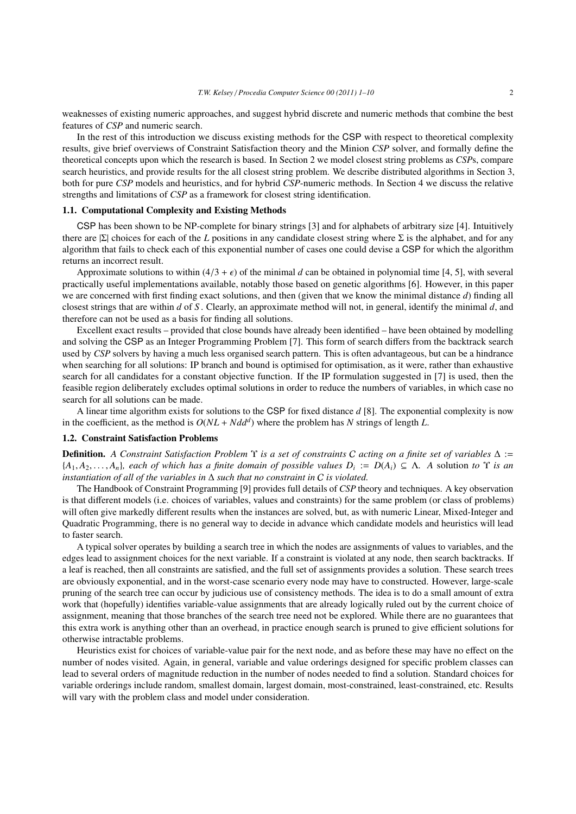weaknesses of existing numeric approaches, and suggest hybrid discrete and numeric methods that combine the best features of *CSP* and numeric search.

In the rest of this introduction we discuss existing methods for the CSP with respect to theoretical complexity results, give brief overviews of Constraint Satisfaction theory and the Minion *CSP* solver, and formally define the theoretical concepts upon which the research is based. In Section 2 we model closest string problems as *CSP*s, compare search heuristics, and provide results for the all closest string problem. We describe distributed algorithms in Section 3, both for pure *CSP* models and heuristics, and for hybrid *CSP*-numeric methods. In Section 4 we discuss the relative strengths and limitations of *CSP* as a framework for closest string identification.

## 1.1. Computational Complexity and Existing Methods

CSP has been shown to be NP-complete for binary strings [3] and for alphabets of arbitrary size [4]. Intuitively there are |Σ| choices for each of the *L* positions in any candidate closest string where Σ is the alphabet, and for any algorithm that fails to check each of this exponential number of cases one could devise a CSP for which the algorithm returns an incorrect result.

Approximate solutions to within  $(4/3 + \epsilon)$  of the minimal *d* can be obtained in polynomial time [4, 5], with several practically useful implementations available, notably those based on genetic algorithms [6]. However, in this paper we are concerned with first finding exact solutions, and then (given that we know the minimal distance *d*) finding all closest strings that are within *d* of *S* . Clearly, an approximate method will not, in general, identify the minimal *d*, and therefore can not be used as a basis for finding all solutions.

Excellent exact results – provided that close bounds have already been identified – have been obtained by modelling and solving the CSP as an Integer Programming Problem [7]. This form of search differs from the backtrack search used by *CSP* solvers by having a much less organised search pattern. This is often advantageous, but can be a hindrance when searching for all solutions: IP branch and bound is optimised for optimisation, as it were, rather than exhaustive search for all candidates for a constant objective function. If the IP formulation suggested in [7] is used, then the feasible region deliberately excludes optimal solutions in order to reduce the numbers of variables, in which case no search for all solutions can be made.

A linear time algorithm exists for solutions to the CSP for fixed distance *d* [8]. The exponential complexity is now in the coefficient, as the method is  $O(NL + Ndd^d)$  where the problem has *N* strings of length *L*.

#### 1.2. Constraint Satisfaction Problems

Definition. *A Constraint Satisfaction Problem* Υ *is a set of constraints* C *acting on a finite set of variables* ∆ :=  ${A_1, A_2, \ldots, A_n}$ *, each of which has a finite domain of possible values*  $D_i := D(A_i) \subseteq \Lambda$ *. A solution to*  $\Upsilon$  *is an instantiation of all of the variables in*  $\Lambda$  *such that no constraint in C is violated instantiation of all of the variables in* ∆ *such that no constraint in* C *is violated.*

The Handbook of Constraint Programming [9] provides full details of *CSP* theory and techniques. A key observation is that different models (i.e. choices of variables, values and constraints) for the same problem (or class of problems) will often give markedly different results when the instances are solved, but, as with numeric Linear, Mixed-Integer and Quadratic Programming, there is no general way to decide in advance which candidate models and heuristics will lead to faster search.

A typical solver operates by building a search tree in which the nodes are assignments of values to variables, and the edges lead to assignment choices for the next variable. If a constraint is violated at any node, then search backtracks. If a leaf is reached, then all constraints are satisfied, and the full set of assignments provides a solution. These search trees are obviously exponential, and in the worst-case scenario every node may have to constructed. However, large-scale pruning of the search tree can occur by judicious use of consistency methods. The idea is to do a small amount of extra work that (hopefully) identifies variable-value assignments that are already logically ruled out by the current choice of assignment, meaning that those branches of the search tree need not be explored. While there are no guarantees that this extra work is anything other than an overhead, in practice enough search is pruned to give efficient solutions for otherwise intractable problems.

Heuristics exist for choices of variable-value pair for the next node, and as before these may have no effect on the number of nodes visited. Again, in general, variable and value orderings designed for specific problem classes can lead to several orders of magnitude reduction in the number of nodes needed to find a solution. Standard choices for variable orderings include random, smallest domain, largest domain, most-constrained, least-constrained, etc. Results will vary with the problem class and model under consideration.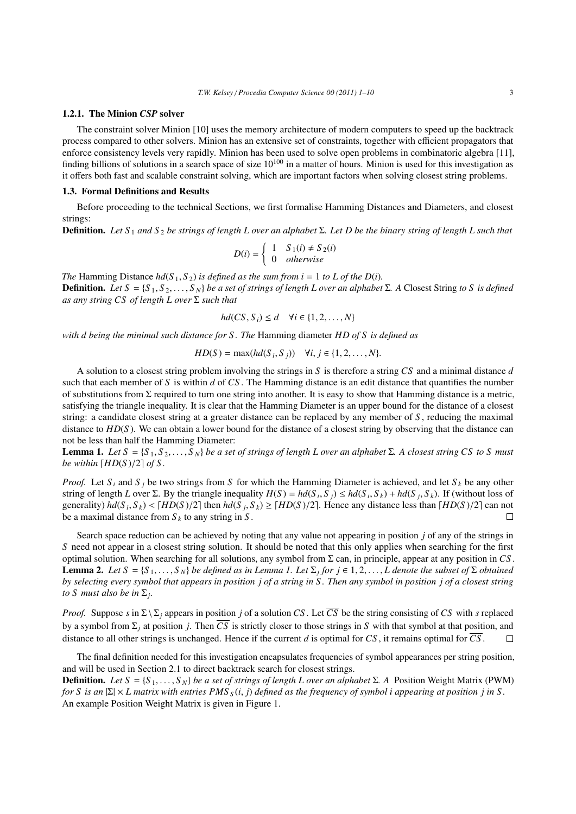#### 1.2.1. The Minion *CSP* solver

The constraint solver Minion [10] uses the memory architecture of modern computers to speed up the backtrack process compared to other solvers. Minion has an extensive set of constraints, together with efficient propagators that enforce consistency levels very rapidly. Minion has been used to solve open problems in combinatoric algebra [11], finding billions of solutions in a search space of size  $10^{100}$  in a matter of hours. Minion is used for this investigation as it offers both fast and scalable constraint solving, which are important factors when solving closest string problems.

#### 1.3. Formal Definitions and Results

Before proceeding to the technical Sections, we first formalise Hamming Distances and Diameters, and closest strings:

Definition. *Let S* <sup>1</sup> *and S* <sup>2</sup> *be strings of length L over an alphabet* Σ*. Let D be the binary string of length L such that*

$$
D(i) = \begin{cases} 1 & S_1(i) \neq S_2(i) \\ 0 & otherwise \end{cases}
$$

*The* Hamming Distance  $hd(S_1, S_2)$  *is defined as the sum from i* = 1 *to L of the D(i)*. **Definition.** *Let S* = {*S*<sub>1</sub>, *S*<sub>2</sub>, . . . , *S*<sub>*N*</sub>} *be a set of strings of length L over an alphabet* Σ*.* A Closest String *to S is defined as any string CS of length L over* Σ *such that*

$$
hd(CS, S_i) \leq d \quad \forall i \in \{1, 2, \dots, N\}
$$

*with d being the minimal such distance for S . The* Hamming diameter *HD of S is defined as*

$$
HD(S) = \max(hd(S_i, S_j)) \quad \forall i, j \in \{1, 2, \dots, N\}.
$$

A solution to a closest string problem involving the strings in *S* is therefore a string *CS* and a minimal distance *d* such that each member of *S* is within *d* of *CS* . The Hamming distance is an edit distance that quantifies the number of substitutions from  $\Sigma$  required to turn one string into another. It is easy to show that Hamming distance is a metric, satisfying the triangle inequality. It is clear that the Hamming Diameter is an upper bound for the distance of a closest string: a candidate closest string at a greater distance can be replaced by any member of *S* , reducing the maximal distance to *HD*(*S* ). We can obtain a lower bound for the distance of a closest string by observing that the distance can not be less than half the Hamming Diameter:

**Lemma 1.** Let  $S = \{S_1, S_2, \ldots, S_N\}$  be a set of strings of length L over an alphabet  $\Sigma$ . A closest string CS to S must *be within*  $\left[\text{HD}(S)/2\right]$  of S.

*Proof.* Let  $S_i$  and  $S_j$  be two strings from *S* for which the Hamming Diameter is achieved, and let  $S_k$  be any other string of length L over  $\Sigma$ . By the triangle inequality  $H(S) = hd(S_i, S_j) \le hd(S_i, S_k) + hd(S_j, S_k)$ . If (without loss of<br>generality)  $hd(S_i, S_i) \le THD(S)/21$  then  $bd(S_i, S_i) \ge THD(S)/21$ . Hence any distance less than  $HHD(S)/21$  can not generality)  $hd(S_i, S_k) < [HD(S)/2]$  then  $hd(S_j, S_k) \geq [HD(S)/2]$ . Hence any distance less than  $[HD(S)/2]$  can not be a maximal distance from S<sub>k</sub>, to any string in S be a maximal distance from  $S_k$  to any string in  $S$ .

Search space reduction can be achieved by noting that any value not appearing in position *j* of any of the strings in *S* need not appear in a closest string solution. It should be noted that this only applies when searching for the first optimal solution. When searching for all solutions, any symbol from Σ can, in principle, appear at any position in *CS* . **Lemma 2.** Let  $S = \{S_1, \ldots, S_N\}$  be defined as in Lemma 1. Let  $\Sigma_j$  for  $j \in 1, 2, \ldots, L$  denote the subset of  $\Sigma$  obtained by selecting every symbol that appears in position i of a closest string *by selecting every symbol that appears in position j of a string in S . Then any symbol in position j of a closest string to S must also be in* Σ*<sup>j</sup> .*

*Proof.* Suppose *s* in  $\Sigma \setminus \Sigma$ *j* appears in position *j* of a solution *CS*. Let  $\overline{CS}$  be the string consisting of *CS* with *s* replaced by a symbol from  $\Sigma_j$  at position *j*. Then  $\overline{CS}$  is strictly closer to those strings in *S* with that symbol at that position, and distance to all other strings is unchanged. Hence if the current *d* is optimal for *CS*, it remains optimal for  $\overline{CS}$ .  $\Box$ 

The final definition needed for this investigation encapsulates frequencies of symbol appearances per string position, and will be used in Section 2.1 to direct backtrack search for closest strings.

**Definition.** *Let S* = {*S*<sub>1</sub>,...,*S*<sub>*N*</sub>} *be a set of strings of length L over an alphabet* Σ*.* A Position Weight Matrix (PWM) *for S is an* <sup>|</sup>Σ| × *L matrix with entries PMS <sup>S</sup>* (*i*, *<sup>j</sup>*) *defined as the frequency of symbol i appearing at position j in S .* An example Position Weight Matrix is given in Figure 1.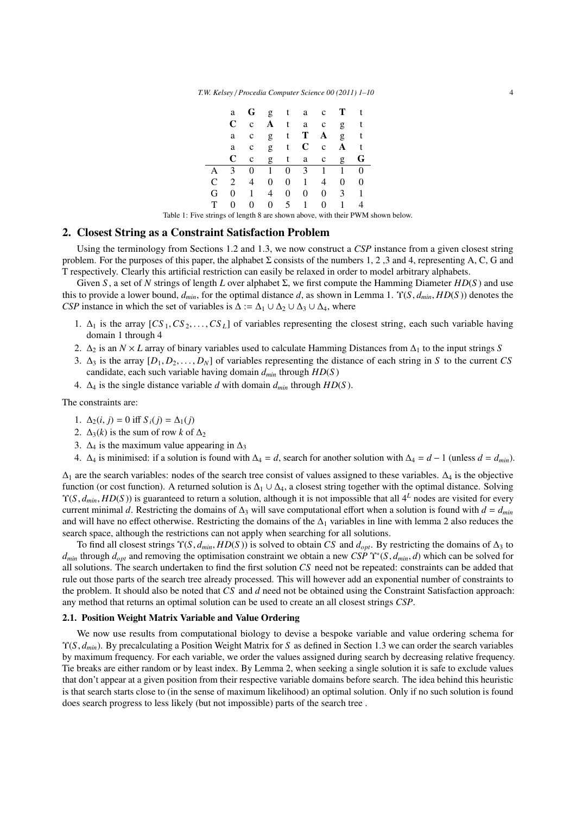|   | a | G              |                |                 | $g$ t a c $T$  |                |              | t        |
|---|---|----------------|----------------|-----------------|----------------|----------------|--------------|----------|
|   | C | $\mathbf{C}$   | A              | t               | a              | $\mathbf{C}$   | g            | t        |
|   | a | $\mathbf c$    | g              | t               | Т              | A              | g            | $-t$     |
|   | a | $\mathbf c$    |                | $g$ t $C$       |                | $\mathbf c$    | A            | t        |
|   | C | $\mathbf c$    | g              | t               | a              | $\mathbf c$    | g            | G        |
| А | 3 | $\overline{0}$ | $1^{-}$        | $\overline{0}$  | 3 <sup>7</sup> | -1             | $\mathbf{1}$ | $\theta$ |
| C | 2 | $\overline{4}$ | $\theta$       | 0               | 1              | 4              | 0            | $\theta$ |
| G | 0 | 1              | 4              | 0               | 0              | 0              | 3            | 1        |
| т | 0 | $\theta$       | $\overline{0}$ | $5\overline{)}$ | $\mathbf{1}$   | $\overline{0}$ | 1            |          |

Table 1: Five strings of length 8 are shown above, with their PWM shown below.

# 2. Closest String as a Constraint Satisfaction Problem

Using the terminology from Sections 1.2 and 1.3, we now construct a *CSP* instance from a given closest string problem. For the purposes of this paper, the alphabet Σ consists of the numbers 1, 2, 3 and 4, representing A, C, G and T respectively. Clearly this artificial restriction can easily be relaxed in order to model arbitrary alphabets.

Given *S* , a set of *N* strings of length *L* over alphabet Σ, we first compute the Hamming Diameter *HD*(*S* ) and use this to provide a lower bound, *<sup>d</sup>min*, for the optimal distance *<sup>d</sup>*, as shown in Lemma 1. <sup>Υ</sup>(*S*, *<sup>d</sup>min*, *HD*(*<sup>S</sup>* )) denotes the *CSP* instance in which the set of variables is  $\Delta := \Delta_1 \cup \Delta_2 \cup \Delta_3 \cup \Delta_4$ , where

- 1.  $\Delta_1$  is the array  $[CS_1, CS_2, \ldots, CS_L]$  of variables representing the closest string, each such variable having domain 1 through 4
- 2. ∆<sup>2</sup> is an *N* × *L* array of binary variables used to calculate Hamming Distances from ∆<sup>1</sup> to the input strings *S*
- 3.  $\Delta_3$  is the array  $[D_1, D_2, \ldots, D_N]$  of variables representing the distance of each string in *S* to the current *CS* candidate, each such variable having domain *dmin* through *HD*(*S* )
- 4. ∆<sup>4</sup> is the single distance variable *d* with domain *dmin* through *HD*(*S* ).

The constraints are:

- 1.  $\Delta_2(i, j) = 0$  iff *S<sub>i</sub>*(*j*) =  $\Delta_1(j)$
- 2.  $\Delta_3(k)$  is the sum of row *k* of  $\Delta_2$
- 3.  $\Delta_4$  is the maximum value appearing in  $\Delta_3$
- 4. ∆<sub>4</sub> is minimised: if a solution is found with  $\Delta_4 = d$ , search for another solution with  $\Delta_4 = d 1$  (unless  $d = d_{min}$ ).

 $\Delta_1$  are the search variables: nodes of the search tree consist of values assigned to these variables.  $\Delta_4$  is the objective function (or cost function). A returned solution is  $\Delta_1 \cup \Delta_4$ , a closest string together with the optimal distance. Solving  $\Upsilon(S, d_{min}, HD(S))$  is guaranteed to return a solution, although it is not impossible that all  $4^L$  nodes are visited for every current minimal *d*. Restricting the domains of  $\Delta_3$  will save computational effort when a solution is found with  $d = d_{min}$ and will have no effect otherwise. Restricting the domains of the  $\Delta_1$  variables in line with lemma 2 also reduces the search space, although the restrictions can not apply when searching for all solutions.

To find all closest strings  $\Upsilon(S, d_{min}, HD(S))$  is solved to obtain *CS* and  $d_{opt}$ . By restricting the domains of  $\Delta_3$  to  $d_{min}$  through  $d_{opt}$  and removing the optimisation constraint we obtain a new *CSP*  $\Upsilon^*(S, d_{min}, d)$  which can be solved for all solutions. The search undertaken to find the first solution *CS* need not be repeated; const all solutions. The search undertaken to find the first solution *CS* need not be repeated: constraints can be added that rule out those parts of the search tree already processed. This will however add an exponential number of constraints to the problem. It should also be noted that *CS* and *d* need not be obtained using the Constraint Satisfaction approach: any method that returns an optimal solution can be used to create an all closest strings *CSP*.

### 2.1. Position Weight Matrix Variable and Value Ordering

We now use results from computational biology to devise a bespoke variable and value ordering schema for <sup>Υ</sup>(*S*, *<sup>d</sup>min*). By precalculating a Position Weight Matrix for *<sup>S</sup>* as defined in Section 1.3 we can order the search variables by maximum frequency. For each variable, we order the values assigned during search by decreasing relative frequency. Tie breaks are either random or by least index. By Lemma 2, when seeking a single solution it is safe to exclude values that don't appear at a given position from their respective variable domains before search. The idea behind this heuristic is that search starts close to (in the sense of maximum likelihood) an optimal solution. Only if no such solution is found does search progress to less likely (but not impossible) parts of the search tree .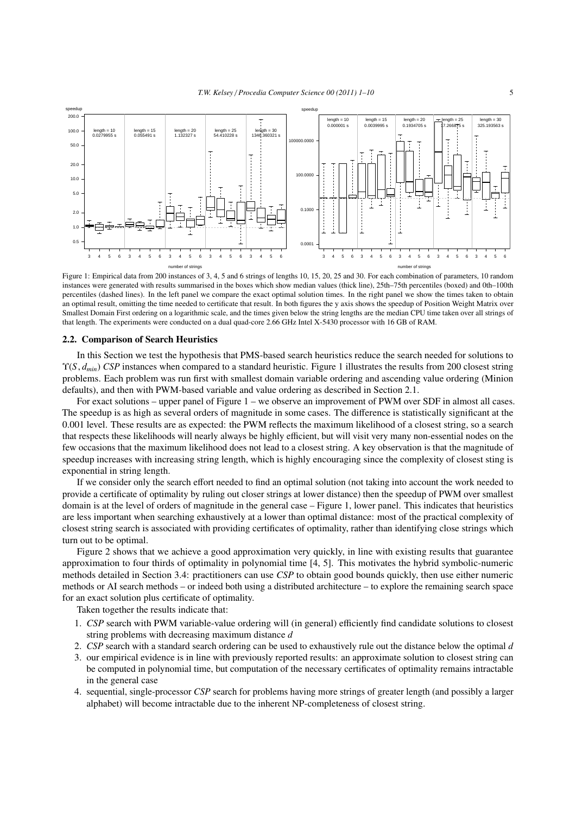

Figure 1: Empirical data from 200 instances of 3, 4, 5 and 6 strings of lengths 10, 15, 20, 25 and 30. For each combination of parameters, 10 random instances were generated with results summarised in the boxes which show median values (thick line), 25th–75th percentiles (boxed) and 0th–100th percentiles (dashed lines). In the left panel we compare the exact optimal solution times. In the right panel we show the times taken to obtain an optimal result, omitting the time needed to certificate that result. In both figures the y axis shows the speedup of Position Weight Matrix over Smallest Domain First ordering on a logarithmic scale, and the times given below the string lengths are the median CPU time taken over all strings of that length. The experiments were conducted on a dual quad-core 2.66 GHz Intel X-5430 processor with 16 GB of RAM.

#### 2.2. Comparison of Search Heuristics

In this Section we test the hypothesis that PMS-based search heuristics reduce the search needed for solutions to <sup>Υ</sup>(*S*, *<sup>d</sup>min*) *CSP* instances when compared to a standard heuristic. Figure 1 illustrates the results from 200 closest string problems. Each problem was run first with smallest domain variable ordering and ascending value ordering (Minion defaults), and then with PWM-based variable and value ordering as described in Section 2.1.

For exact solutions – upper panel of Figure 1 – we observe an improvement of PWM over SDF in almost all cases. The speedup is as high as several orders of magnitude in some cases. The difference is statistically significant at the 0.001 level. These results are as expected: the PWM reflects the maximum likelihood of a closest string, so a search that respects these likelihoods will nearly always be highly efficient, but will visit very many non-essential nodes on the few occasions that the maximum likelihood does not lead to a closest string. A key observation is that the magnitude of speedup increases with increasing string length, which is highly encouraging since the complexity of closest sting is exponential in string length.

If we consider only the search effort needed to find an optimal solution (not taking into account the work needed to provide a certificate of optimality by ruling out closer strings at lower distance) then the speedup of PWM over smallest domain is at the level of orders of magnitude in the general case – Figure 1, lower panel. This indicates that heuristics are less important when searching exhaustively at a lower than optimal distance: most of the practical complexity of closest string search is associated with providing certificates of optimality, rather than identifying close strings which turn out to be optimal.

Figure 2 shows that we achieve a good approximation very quickly, in line with existing results that guarantee approximation to four thirds of optimality in polynomial time [4, 5]. This motivates the hybrid symbolic-numeric methods detailed in Section 3.4: practitioners can use *CSP* to obtain good bounds quickly, then use either numeric methods or AI search methods – or indeed both using a distributed architecture – to explore the remaining search space for an exact solution plus certificate of optimality.

Taken together the results indicate that:

- 1. *CSP* search with PWM variable-value ordering will (in general) efficiently find candidate solutions to closest string problems with decreasing maximum distance *d*
- 2. *CSP* search with a standard search ordering can be used to exhaustively rule out the distance below the optimal *d*
- 3. our empirical evidence is in line with previously reported results: an approximate solution to closest string can be computed in polynomial time, but computation of the necessary certificates of optimality remains intractable in the general case
- 4. sequential, single-processor *CSP* search for problems having more strings of greater length (and possibly a larger alphabet) will become intractable due to the inherent NP-completeness of closest string.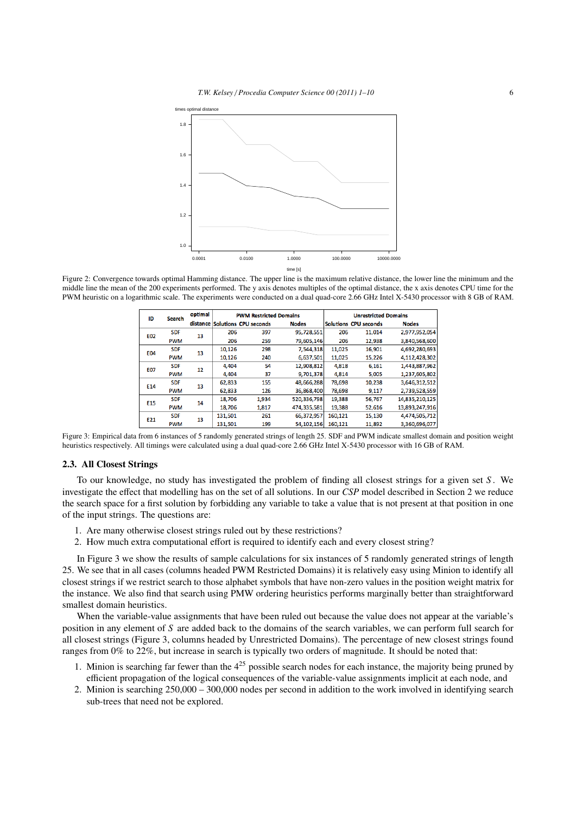

Figure 2: Convergence towards optimal Hamming distance. The upper line is the maximum relative distance, the lower line the minimum and the middle line the mean of the 200 experiments performed. The y axis denotes multiples of the optimal distance, the x axis denotes CPU time for the PWM heuristic on a logarithmic scale. The experiments were conducted on a dual quad-core 2.66 GHz Intel X-5430 processor with 8 GB of RAM.

| ID                              | <b>Search</b> | optimal  | <b>PWM Restricted Domains</b> |                       |              | <b>Unrestricted Domains</b> |                              |                |
|---------------------------------|---------------|----------|-------------------------------|-----------------------|--------------|-----------------------------|------------------------------|----------------|
|                                 |               | distance |                               | Solutions CPU seconds | <b>Nodes</b> |                             | <b>Solutions CPU seconds</b> | <b>Nodes</b>   |
| <b>SDF</b><br>E02<br><b>PWM</b> | 13            | 206      | 397                           | 95,728,551            | 206          | 11,014                      | 2,977,952,054                |                |
|                                 |               | 206      | 259                           | 79,605,146            | 206          | 12,938                      | 3,840,568,600                |                |
| E04                             | <b>SDF</b>    | 13       | 10,126                        | 298                   | 7,544,318    | 11,025                      | 16,901                       | 4,692,280,693  |
|                                 | <b>PWM</b>    |          | 10,126                        | 240                   | 6,637,501    | 11,025                      | 15,226                       | 4,112,428,302  |
| <b>SDF</b><br>E07<br><b>PWM</b> |               | 12       | 4.404                         | 54                    | 12,908,812   | 4.818                       | 6,161                        | 1,443,887,962  |
|                                 |               |          | 4.404                         | 37                    | 9,701,378    | 4.814                       | 5.005                        | 1,237,605,802  |
| E14                             | <b>SDF</b>    | 13       | 62,833                        | 155                   | 48,666,288   | 78,698                      | 10,238                       | 3,646,312,512  |
|                                 | <b>PWM</b>    |          | 62,833                        | 126                   | 36,868,400   | 78,698                      | 9,117                        | 2,739,528,559  |
| E15                             | <b>SDF</b>    | 14       | 18,706                        | 1,934                 | 520,336,798  | 19,388                      | 56,767                       | 14,835,210,125 |
|                                 | <b>PWM</b>    |          | 18,706                        | 1,817                 | 474,335,581  | 19,388                      | 52,616                       | 13,893,247,916 |
| E21                             | <b>SDF</b>    | 13       | 131,501                       | 261                   | 66,372,957   | 160,121                     | 15,130                       | 4,474,505,712  |
|                                 | <b>PWM</b>    |          | 131,501                       | 199                   | 54,102,156   | 160,121                     | 11,892                       | 3,360,696,077  |

Figure 3: Empirical data from 6 instances of 5 randomly generated strings of length 25. SDF and PWM indicate smallest domain and position weight heuristics respectively. All timings were calculated using a dual quad-core 2.66 GHz Intel X-5430 processor with 16 GB of RAM.

#### 2.3. All Closest Strings

To our knowledge, no study has investigated the problem of finding all closest strings for a given set *S* . We investigate the effect that modelling has on the set of all solutions. In our *CSP* model described in Section 2 we reduce the search space for a first solution by forbidding any variable to take a value that is not present at that position in one of the input strings. The questions are:

- 1. Are many otherwise closest strings ruled out by these restrictions?
- 2. How much extra computational effort is required to identify each and every closest string?

In Figure 3 we show the results of sample calculations for six instances of 5 randomly generated strings of length 25. We see that in all cases (columns headed PWM Restricted Domains) it is relatively easy using Minion to identify all closest strings if we restrict search to those alphabet symbols that have non-zero values in the position weight matrix for the instance. We also find that search using PMW ordering heuristics performs marginally better than straightforward smallest domain heuristics.

When the variable-value assignments that have been ruled out because the value does not appear at the variable's position in any element of *S* are added back to the domains of the search variables, we can perform full search for all closest strings (Figure 3, columns headed by Unrestricted Domains). The percentage of new closest strings found ranges from 0% to 22%, but increase in search is typically two orders of magnitude. It should be noted that:

- 1. Minion is searching far fewer than the  $4^{25}$  possible search nodes for each instance, the majority being pruned by efficient propagation of the logical consequences of the variable-value assignments implicit at each node, and
- 2. Minion is searching 250,000 300,000 nodes per second in addition to the work involved in identifying search sub-trees that need not be explored.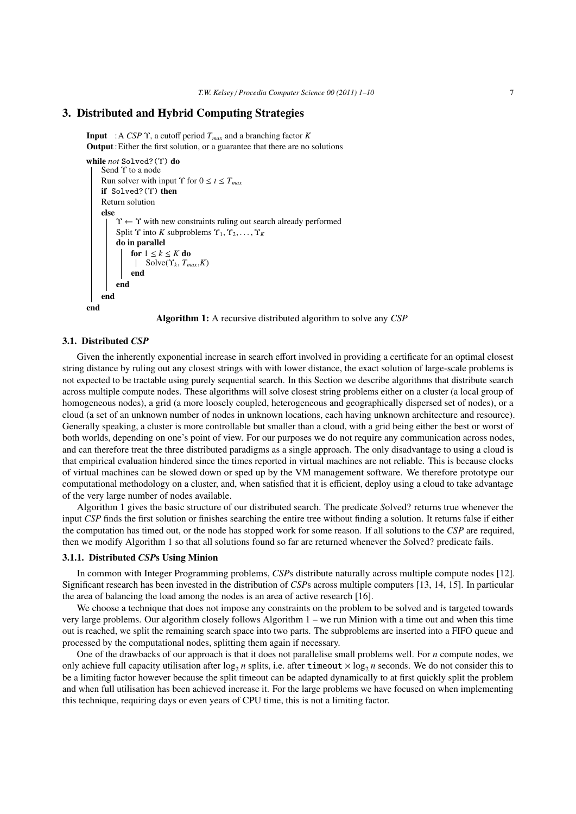# 3. Distributed and Hybrid Computing Strategies

Input :A *CSP* Υ, a cutoff period *Tmax* and a branching factor *K* Output:Either the first solution, or a guarantee that there are no solutions

```
while not Solved?(Υ) do
     Send Υ to a node
     Run solver with input \Upsilon for 0 \le t \le T_{max}if Solved?(Υ) then
    Return solution
     else
          \Upsilon \leftarrow \Upsilon with new constraints ruling out search already performed
          Split \Upsilon into K subproblems \Upsilon_1, \Upsilon_2, \ldots, \Upsilon_Kdo in parallel
               for 1 \leq k \leq K do
                     Solve(\Upsilon_k, T_{max}, K)end
          end
     end
end
```


#### 3.1. Distributed *CSP*

Given the inherently exponential increase in search effort involved in providing a certificate for an optimal closest string distance by ruling out any closest strings with with lower distance, the exact solution of large-scale problems is not expected to be tractable using purely sequential search. In this Section we describe algorithms that distribute search across multiple compute nodes. These algorithms will solve closest string problems either on a cluster (a local group of homogeneous nodes), a grid (a more loosely coupled, heterogeneous and geographically dispersed set of nodes), or a cloud (a set of an unknown number of nodes in unknown locations, each having unknown architecture and resource). Generally speaking, a cluster is more controllable but smaller than a cloud, with a grid being either the best or worst of both worlds, depending on one's point of view. For our purposes we do not require any communication across nodes, and can therefore treat the three distributed paradigms as a single approach. The only disadvantage to using a cloud is that empirical evaluation hindered since the times reported in virtual machines are not reliable. This is because clocks of virtual machines can be slowed down or sped up by the VM management software. We therefore prototype our computational methodology on a cluster, and, when satisfied that it is efficient, deploy using a cloud to take advantage of the very large number of nodes available.

Algorithm 1 gives the basic structure of our distributed search. The predicate *S*olved? returns true whenever the input *CSP* finds the first solution or finishes searching the entire tree without finding a solution. It returns false if either the computation has timed out, or the node has stopped work for some reason. If all solutions to the *CSP* are required, then we modify Algorithm 1 so that all solutions found so far are returned whenever the *S*olved? predicate fails.

#### 3.1.1. Distributed *CSP*s Using Minion

In common with Integer Programming problems, *CSP*s distribute naturally across multiple compute nodes [12]. Significant research has been invested in the distribution of *CSP*s across multiple computers [13, 14, 15]. In particular the area of balancing the load among the nodes is an area of active research [16].

We choose a technique that does not impose any constraints on the problem to be solved and is targeted towards very large problems. Our algorithm closely follows Algorithm 1 – we run Minion with a time out and when this time out is reached, we split the remaining search space into two parts. The subproblems are inserted into a FIFO queue and processed by the computational nodes, splitting them again if necessary.

One of the drawbacks of our approach is that it does not parallelise small problems well. For *n* compute nodes, we only achieve full capacity utilisation after  $\log_2 n$  splits, i.e. after timeout  $\times \log_2 n$  seconds. We do not consider this to be a limiting factor however because the split timeout can be adapted dynamically to at first quickly split the problem and when full utilisation has been achieved increase it. For the large problems we have focused on when implementing this technique, requiring days or even years of CPU time, this is not a limiting factor.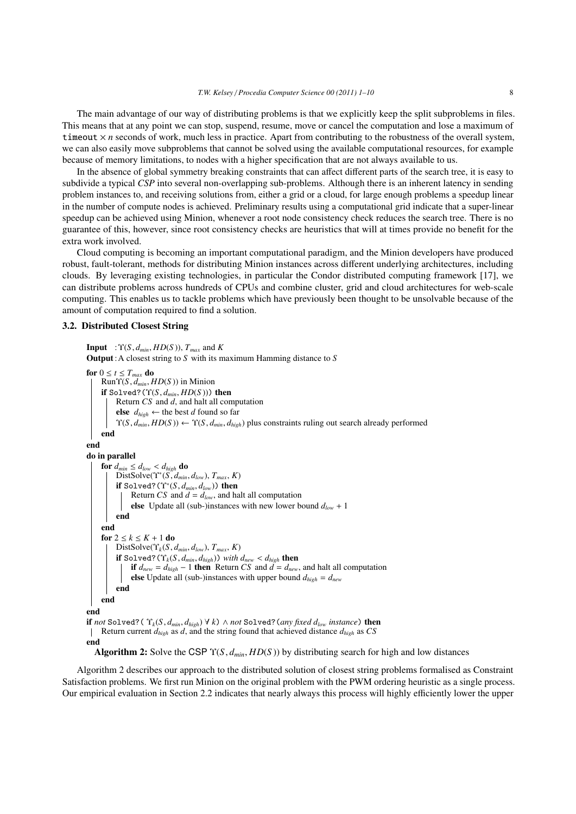The main advantage of our way of distributing problems is that we explicitly keep the split subproblems in files. This means that at any point we can stop, suspend, resume, move or cancel the computation and lose a maximum of timeout  $\times n$  seconds of work, much less in practice. Apart from contributing to the robustness of the overall system, we can also easily move subproblems that cannot be solved using the available computational resources, for example because of memory limitations, to nodes with a higher specification that are not always available to us.

In the absence of global symmetry breaking constraints that can affect different parts of the search tree, it is easy to subdivide a typical *CSP* into several non-overlapping sub-problems. Although there is an inherent latency in sending problem instances to, and receiving solutions from, either a grid or a cloud, for large enough problems a speedup linear in the number of compute nodes is achieved. Preliminary results using a computational grid indicate that a super-linear speedup can be achieved using Minion, whenever a root node consistency check reduces the search tree. There is no guarantee of this, however, since root consistency checks are heuristics that will at times provide no benefit for the extra work involved.

Cloud computing is becoming an important computational paradigm, and the Minion developers have produced robust, fault-tolerant, methods for distributing Minion instances across different underlying architectures, including clouds. By leveraging existing technologies, in particular the Condor distributed computing framework [17], we can distribute problems across hundreds of CPUs and combine cluster, grid and cloud architectures for web-scale computing. This enables us to tackle problems which have previously been thought to be unsolvable because of the amount of computation required to find a solution.

# 3.2. Distributed Closest String

```
Input : \Upsilon(S, d_{min}, HD(S)), T_{max} and KOutput:A closest string to S with its maximum Hamming distance to S
for 0 \le t \le T_{max} do
     RunY(S, d_{min}, HD(S)) in Minion
     if Solved?(\Upsilon(S, d_{min}, HD(S))) then
          Return CS and d, and halt all computation
          else d_{high} ← the best d found so far
          \Upsilon(S, d_{min}, HD(S)) \leftarrow \Upsilon(S, d_{min}, d_{high}) plus constraints ruling out search already performed
     end
end
do in parallel
     for d_{min} \leq d_{low} < d_{high} do
           DistSolve(\Upsilon^*(S, d_{min}, d_{low}), T_{max}, K)<br>if Solved2(\Upsilon^*(S, d_{mid}, d_{mid})) then
           if Solved?(\Upsilon^*(S, d_{min}, d_{low})) then<br>| Return CS and d = d_{low} and he
                Return CS and d = d_{low}, and halt all computation
                else Update all (sub-)instances with new lower bound d_{low} + 1end
     end
     for 2 \leq k \leq K + 1 do
          DistSolve(\Upsilon_k(S, d_{min}, d_{low}), T_{max}, K)if Solved?(\Upsilon_k(S, d_{min}, d_{high})) with d<sub>new</sub> < d_{high} then
                if d_{new} = d_{high} - 1 then Return CS and d = d_{new}, and halt all computation
                else Update all (sub-)instances with upper bound d_{high} = d_{new}end
     end
end
if not Solved?( \Upsilon_k(S, d_{min}, d_{high}) \forall k) \wedge not Solved?(any fixed d<sub>low</sub> instance) then
 Return current dhigh as d, and the string found that achieved distance dhigh as CS
end
```
Algorithm 2: Solve the CSP <sup>Υ</sup>(*S*, *<sup>d</sup>min*, *HD*(*<sup>S</sup>* )) by distributing search for high and low distances

Algorithm 2 describes our approach to the distributed solution of closest string problems formalised as Constraint Satisfaction problems. We first run Minion on the original problem with the PWM ordering heuristic as a single process. Our empirical evaluation in Section 2.2 indicates that nearly always this process will highly efficiently lower the upper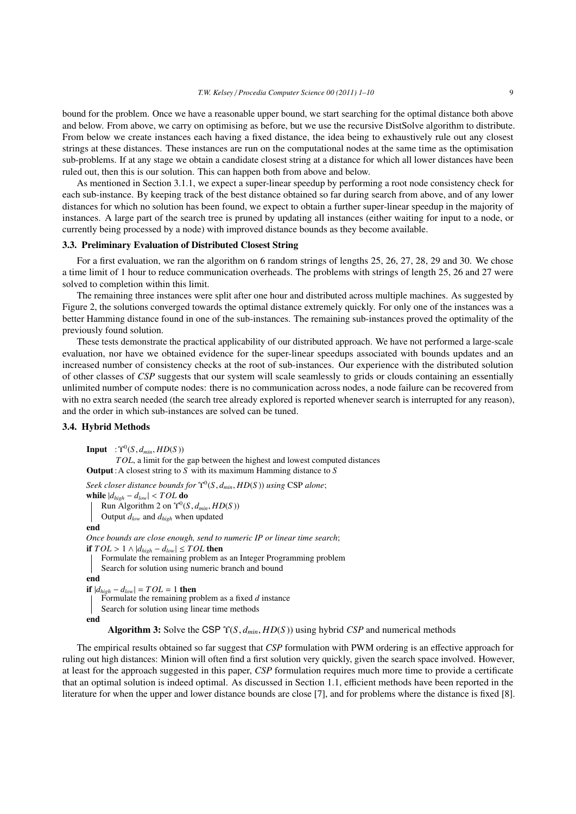bound for the problem. Once we have a reasonable upper bound, we start searching for the optimal distance both above and below. From above, we carry on optimising as before, but we use the recursive DistSolve algorithm to distribute. From below we create instances each having a fixed distance, the idea being to exhaustively rule out any closest strings at these distances. These instances are run on the computational nodes at the same time as the optimisation sub-problems. If at any stage we obtain a candidate closest string at a distance for which all lower distances have been ruled out, then this is our solution. This can happen both from above and below.

As mentioned in Section 3.1.1, we expect a super-linear speedup by performing a root node consistency check for each sub-instance. By keeping track of the best distance obtained so far during search from above, and of any lower distances for which no solution has been found, we expect to obtain a further super-linear speedup in the majority of instances. A large part of the search tree is pruned by updating all instances (either waiting for input to a node, or currently being processed by a node) with improved distance bounds as they become available.

#### 3.3. Preliminary Evaluation of Distributed Closest String

For a first evaluation, we ran the algorithm on 6 random strings of lengths 25, 26, 27, 28, 29 and 30. We chose a time limit of 1 hour to reduce communication overheads. The problems with strings of length 25, 26 and 27 were solved to completion within this limit.

The remaining three instances were split after one hour and distributed across multiple machines. As suggested by Figure 2, the solutions converged towards the optimal distance extremely quickly. For only one of the instances was a better Hamming distance found in one of the sub-instances. The remaining sub-instances proved the optimality of the previously found solution.

These tests demonstrate the practical applicability of our distributed approach. We have not performed a large-scale evaluation, nor have we obtained evidence for the super-linear speedups associated with bounds updates and an increased number of consistency checks at the root of sub-instances. Our experience with the distributed solution of other classes of *CSP* suggests that our system will scale seamlessly to grids or clouds containing an essentially unlimited number of compute nodes: there is no communication across nodes, a node failure can be recovered from with no extra search needed (the search tree already explored is reported whenever search is interrupted for any reason), and the order in which sub-instances are solved can be tuned.

## 3.4. Hybrid Methods

**Input** :  $\Upsilon^{0}(S, d_{min}, HD(S))$ <br>*TOL* a limit for the

*TOL*, a limit for the gap between the highest and lowest computed distances Output:A closest string to *S* with its maximum Hamming distance to *S*

*Seek closer distance bounds for*  $\Upsilon^{0}(S, d_{min}, HD(S))$  *using* CSP *alone*;<br>while  $|d_{\text{max}} - d_{\text{max}}| \leq TOI$  do **while**  $|d_{high} - d_{low}|$  < *TOL* **do** Run Algorithm 2 on  $\Upsilon^0(S, d_{min}, HD(S))$ <br>Output *d*<sub>c</sub> and *d*<sub>tax</sub> when undated Output *dlow* and *dhigh* when updated end *Once bounds are close enough, send to numeric IP or linear time search*; **if**  $TOL > 1 \land |d_{high} - d_{low}| ≤ TOL$  then Formulate the remaining problem as an Integer Programming problem Search for solution using numeric branch and bound end **if**  $|d_{high} - d_{low}|$  =  $TOL = 1$  **then** Formulate the remaining problem as a fixed *d* instance Search for solution using linear time methods end

Algorithm 3: Solve the CSP <sup>Υ</sup>(*S*, *<sup>d</sup>min*, *HD*(*<sup>S</sup>* )) using hybrid *CSP* and numerical methods

The empirical results obtained so far suggest that *CSP* formulation with PWM ordering is an effective approach for ruling out high distances: Minion will often find a first solution very quickly, given the search space involved. However, at least for the approach suggested in this paper, *CSP* formulation requires much more time to provide a certificate that an optimal solution is indeed optimal. As discussed in Section 1.1, efficient methods have been reported in the literature for when the upper and lower distance bounds are close [7], and for problems where the distance is fixed [8].